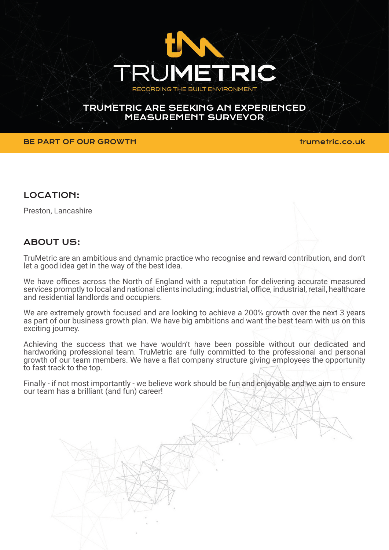

## TRUMETRIC ARE SEEKING AN EXPERIENCED MEASUREMENT SURVEYOR

### BE PART OF OUR GROWTH **the set of the set of the set of the set of the set of the set of the set of the set of th**

### LOCATION:

Preston, Lancashire

# ABOUT US:

TruMetric are an ambitious and dynamic practice who recognise and reward contribution, and don't let a good idea get in the way of the best idea.

We have offices across the North of England with a reputation for delivering accurate measured services promptly to local and national clients including; industrial, office, industrial, retail, healthcare and residential landlords and occupiers.

We are extremely growth focused and are looking to achieve a 200% growth over the next 3 years as part of our business growth plan. We have big ambitions and want the best team with us on this exciting journey.

Achieving the success that we have wouldn't have been possible without our dedicated and hardworking professional team. TruMetric are fully committed to the professional and personal growth of our team members. We have a flat company structure giving employees the opportunity to fast track to the top.

Finally - if not most importantly - we believe work should be fun and enjoyable and we aim to ensure our team has a brilliant (and fun) career!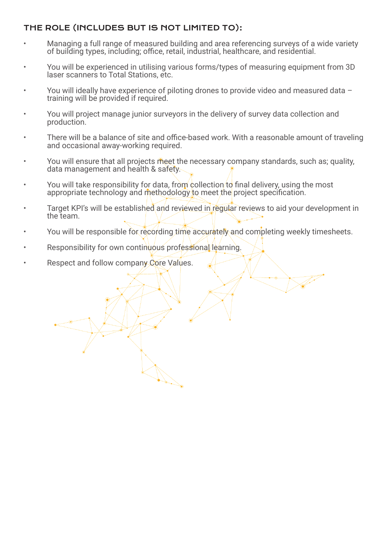# THE ROLE (INCLUDES BUT IS NOT LIMITED TO):

- Managing a full range of measured building and area referencing surveys of a wide variety of building types, including; office, retail, industrial, healthcare, and residential.
- You will be experienced in utilising various forms/types of measuring equipment from 3D laser scanners to Total Stations, etc.
- You will ideally have experience of piloting drones to provide video and measured data training will be provided if required.
- You will project manage junior surveyors in the delivery of survey data collection and production.
- There will be a balance of site and office-based work. With a reasonable amount of traveling and occasional away-working required.
- You will ensure that all projects meet the necessary company standards, such as; quality, data management and health & safety.
- You will take responsibility for data, from collection to final delivery, using the most appropriate technology and methodology to meet the project specification.

**Allen** 

- Target KPI's will be established and reviewed in regular reviews to aid your development in the team.
- You will be responsible for recording time accurately and completing weekly timesheets.
- Responsibility for own continuous professional/learning.
- Respect and follow company Core Values.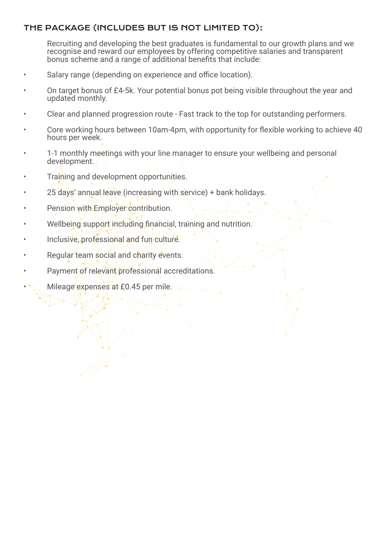# THE PACKAGE (INCLUDES BUT IS NOT LIMITED TO):

Recruiting and developing the best graduates is fundamental to our growth plans and we recognise and reward our employees by offering competitive salaries and transparent bonus scheme and a range of additional benefits that include:

- Salary range (depending on experience and office location).
- On target bonus of £4-5k. Your potential bonus pot being visible throughout the year and updated monthly.
- Clear and planned progression route Fast track to the top for outstanding performers.
- Core working hours between 10am-4pm, with opportunity for flexible working to achieve 40 hours per week.
- 1-1 monthly meetings with your line manager to ensure your wellbeing and personal development.
- Training and development opportunities.
- 25 days' annual leave (increasing with service) + bank holidays.
- Pension with Employer contribution.
- Wellbeing support including financial, training and nutrition.
- Inclusive, professional and fun culture.
- Regular team social and charity events.
- Payment of relevant professional accreditations.
- Mileage expenses at £0.45 per mile.